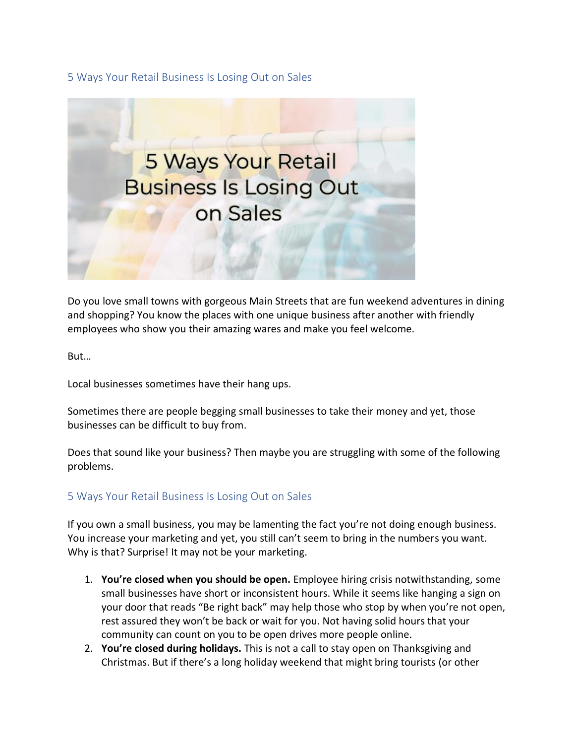## 5 Ways Your Retail Business Is Losing Out on Sales



Do you love small towns with gorgeous Main Streets that are fun weekend adventures in dining and shopping? You know the places with one unique business after another with friendly employees who show you their amazing wares and make you feel welcome.

But…

Local businesses sometimes have their hang ups.

Sometimes there are people begging small businesses to take their money and yet, those businesses can be difficult to buy from.

Does that sound like your business? Then maybe you are struggling with some of the following problems.

## 5 Ways Your Retail Business Is Losing Out on Sales

If you own a small business, you may be lamenting the fact you're not doing enough business. You increase your marketing and yet, you still can't seem to bring in the numbers you want. Why is that? Surprise! It may not be your marketing.

- 1. **You're closed when you should be open.** Employee hiring crisis notwithstanding, some small businesses have short or inconsistent hours. While it seems like hanging a sign on your door that reads "Be right back" may help those who stop by when you're not open, rest assured they won't be back or wait for you. Not having solid hours that your community can count on you to be open drives more people online.
- 2. **You're closed during holidays.** This is not a call to stay open on Thanksgiving and Christmas. But if there's a long holiday weekend that might bring tourists (or other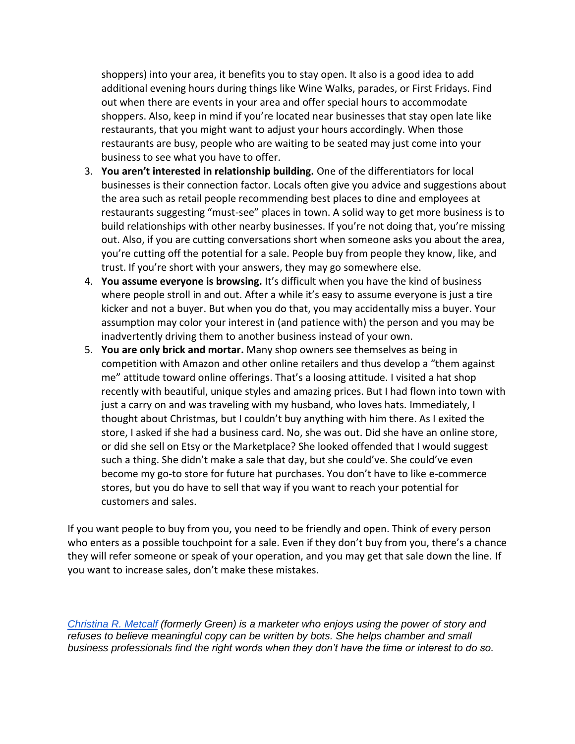shoppers) into your area, it benefits you to stay open. It also is a good idea to add additional evening hours during things like Wine Walks, parades, or First Fridays. Find out when there are events in your area and offer special hours to accommodate shoppers. Also, keep in mind if you're located near businesses that stay open late like restaurants, that you might want to adjust your hours accordingly. When those restaurants are busy, people who are waiting to be seated may just come into your business to see what you have to offer.

- 3. **You aren't interested in relationship building.** One of the differentiators for local businesses is their connection factor. Locals often give you advice and suggestions about the area such as retail people recommending best places to dine and employees at restaurants suggesting "must-see" places in town. A solid way to get more business is to build relationships with other nearby businesses. If you're not doing that, you're missing out. Also, if you are cutting conversations short when someone asks you about the area, you're cutting off the potential for a sale. People buy from people they know, like, and trust. If you're short with your answers, they may go somewhere else.
- 4. **You assume everyone is browsing.** It's difficult when you have the kind of business where people stroll in and out. After a while it's easy to assume everyone is just a tire kicker and not a buyer. But when you do that, you may accidentally miss a buyer. Your assumption may color your interest in (and patience with) the person and you may be inadvertently driving them to another business instead of your own.
- 5. **You are only brick and mortar.** Many shop owners see themselves as being in competition with Amazon and other online retailers and thus develop a "them against me" attitude toward online offerings. That's a loosing attitude. I visited a hat shop recently with beautiful, unique styles and amazing prices. But I had flown into town with just a carry on and was traveling with my husband, who loves hats. Immediately, I thought about Christmas, but I couldn't buy anything with him there. As I exited the store, I asked if she had a business card. No, she was out. Did she have an online store, or did she sell on Etsy or the Marketplace? She looked offended that I would suggest such a thing. She didn't make a sale that day, but she could've. She could've even become my go-to store for future hat purchases. You don't have to like e-commerce stores, but you do have to sell that way if you want to reach your potential for customers and sales.

If you want people to buy from you, you need to be friendly and open. Think of every person who enters as a possible touchpoint for a sale. Even if they don't buy from you, there's a chance they will refer someone or speak of your operation, and you may get that sale down the line. If you want to increase sales, don't make these mistakes.

*[Christina R. Metcalf](http://www.christinargreen.com/) (formerly Green) is a marketer who enjoys using the power of story and refuses to believe meaningful copy can be written by bots. She helps chamber and small business professionals find the right words when they don't have the time or interest to do so.*